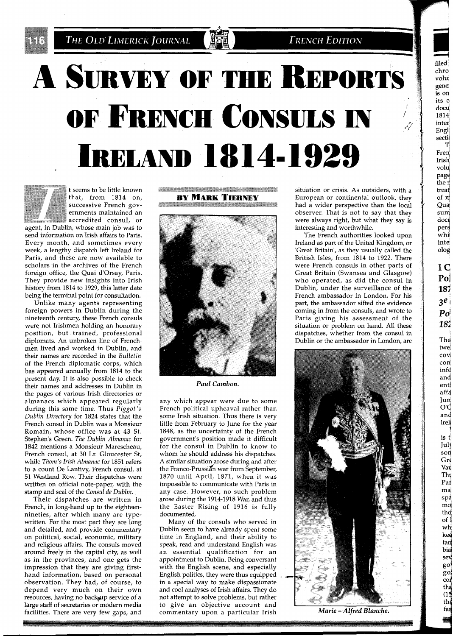**FRENCH EDITION** 

**3** filed

er<br>31<br>1<br>1

chro' voluj gene] is on its o docu 1814 inter Engl sectii<br>T

Fren Irisll volu pagq the r treat  $of  $\pi$$ Qua sum docu pers  $w$ hi inte olog

> **I** *C*  **P01 1sl 3e** <sup>1</sup> *PO"*  181

The twel covi con" infd and enti affd Jun  $O'$ and Ire11 **1**  is tl Jul: son Gre Vau Th\ Pai m& spa md thc  $of$ wh' ked fan bid sel  $g^o$ <br> $g^o$ 

 $\overline{c}$ <sup>o</sup> tha  $(15)$ th fai

# **A SURVEY OF THE REPORTS** OF FRENCH CONSULS IN **IRELAND 1814-1929**

**The Second Second** 



t seems to be little known that, from 1814 on,<br>successive French gov- $\quad$  ernments maintained an  $\quad$  accredited consul, or

agent, in Dublin, whose main job was to send information on Irish affairs to Paris. Every month, and sometimes every week, a lengthy dispatch left Ireland for Paris, and these are now available to scholars in the archives of the French foreign office, the Quai d'Orsay, Paris. They provide new insights into Irish history from 1814 to 1929, this latter date being the terminal point for consultation.

Unlike many agents representing foreign powers in Dublin during the nineteenth century, these French consuls were not Irishmen holding an honorary position, but trained, professional diplomats. An unbroken line of Frenchmen lived and worked in Dublin, and their names are recorded in the *Bulletin*  of the French diplomatic corps, which has appeared annually from 1814 to the present day. It is also possible to check their names and addresses in Dublin in the pages of various Irish directories or almanacs which appeared regularly during this same time. Thus *Piggot 'S Dublin Dlrectory* for 1824 states that the French consul in Dublin was a Monsieur Romain, whose office was at 43 St. Stephen's Green. *The Dublln Almanac* for 1842 mentions a Monsieur Marescheau, French consul, at 30 Lr. Gloucester St, while *Thom's Irish Almanac* for 1851 refers to a count De Lantivy, French consul, at 51 Westland Row. Their dispatches were written on official note-paper, with the stamp and seal of the *Consul de Dublin* 

Their dispatches are written in French, in long-hand up to the eighteennineties, after which many are typewritten. For the most part they are long and detailed, and provide commentary on political, social, economic, military and religious affairs. The consuls moved around freely in the capital city, as well as in the provinces, and one gets the impression that they are giving firsthand information, based on personal observation. They had, of course, to depend very much on their own resources, having no backup service of a large staff of secretaries or modern media facilities. There are very few gaps, and





*Paul Cambon.* 

any which appear were due to some French political upheaval rather than some Irish situation. Thus there is very little from February to June for the year 1848, as the uncertainty of the French government's position made it difficult for the consul in Dublin to know to whom he should address his dispatches. A similar situation arose during and after the Franco-Prussian war from September, 1870 until April, 1871, when it was impossible to communicate with Paris in any case. However, no such problem arose during the 1914-1918 War, and thus the Easter Rising of 1916 is fully documented.

Many of the consuls who served in Dublin seem to have already spent some time in England, and their ability to speak, read and understand English was an essential qualification for an appointment to Dublin. Being conversant with the English scene, and especially English politics, they were thus equipped in a special way to make dispassionate and cool analyses of Irish affairs. They do not attempt to solve problems, but rather to give an objective account and commentary upon a particular Irish *Marie -Alfred Blanche.* 

situation or crisis. As outsiders, with a European or continental outlook, they had a wider perspective than the local observer. That is not to say that they were always right, but what they say is interesting and worthwhile.

The French authorities looked upon Ireland as part of the United Kingdom, or 'Great Britain', as they usually called the British Isles, from 1814 to 1922. There were French consuls in other parts of Great Britain (Swansea and Glasgow) who operated, as did the consul in Dublin, under the surveillance of the French ambassador in London. For his part, the ambassador sifted the evidence coming in from the consuls, and wrote to Paris giving his assessment of the situation or problem on hand. All these dispatches, whether from the consul in Dublin or the ambassador in London, are

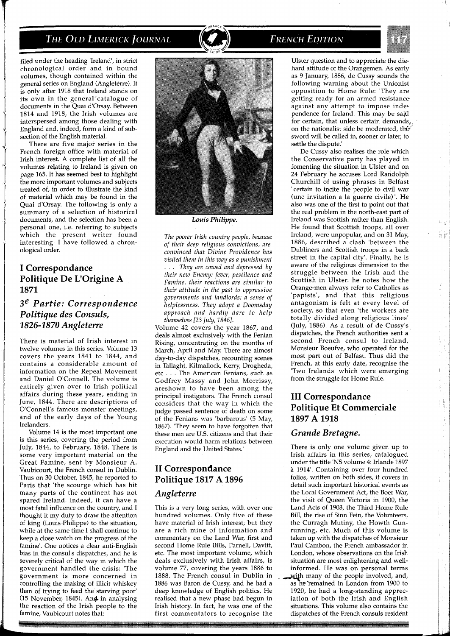

filed under the heading 'Ireland', in strict chronological order and in bound volumes, though contained within the general series on England (Angleterre). It is only after 1918 that Ireland stands on its own in the general catalogue of documents in the Quai d'Orsay. Between 1814 and 1918, the Irish volumes are interspersed among those dealing with England and, indeed, form a kind of subsection of the English material.

There are five major series in the French foreign office with material of Irish interest. A complete list of all the volumes relating to Ireland is given on page 165. It has seemed best to highlight the more important volumes and subjects treated of, in order to illustrate the kind of material which may be found in the Quai d'Orsay. The following is only a summary of a selection of historical documents, and the selection has been a personal one, i.e. referring to subjects which the present writer found interesting. I have followed a chronological order.

## **I Correspondance Politique De L'Origine A 1871**

# *3e Partie: Correspondence Politique des Consuls, 1826-1* **870** *Angleterre*

There is material of Irish interest in twelve volumes in this series. Volume 13 covers the years 1841 to 1844, and contains a considerable amount of information on the Repeal Movement and Daniel O'Connell. The volume is entirely given over to Irish political affairs during these years, ending in June, 1844. There are descriptions of O'Connell's famous monster meetings, and of the early days of the Young Irelanders.

Volume 14 is the most important one is this series, covering the period from July, 1844, to February, 1848. There is some very important material on the Great Famine, sent by Monsieur A. Vaubicourt, the French consul in Dublin. Thus on 30 October, 1845, he reported to Paris that 'the scourge which has hit many parts of the continent has not spared Ireland. Indeed, it can have a most fatal influence on the country, and I thought it my duty to draw the attention of king (Louis Philippe) to the situation, while at the same time I shall continue to keep a close watch on the progress of the famine'. One notices a clear anti-English bias in the consul's dispatches, and he is severely critical of the way in which the government handled the crisis: 'The government is more concerned in controlling the making of illicit whiskey than of trying to feed the starving poor' (15 November, 1845). An& in analysing the reaction of the Irish people to the famine, Vaubicourt notes that:



*Louis Philippe.* 

*The poorer Irish country people, because of their deep religious convictions, are convinced that Divine Providence has visited them in this way as a punishment*  . . . *They are cowed and depressed by their new Enemy: fever, pestilence and Famine. their reactions are similar to their attitude in the past to oppressive governments and landlords: a sense of helplessness. They adopt a Doomsday approach and hardly dare to help themselves [23 July,* 18461.

Volume 42 covers the year 1867, and deals almost exclusively with the Fenian Rising, concentrating on the months of March, April and May. There are almost day-to-day dispatches, recounting scenes in Tallaght, Kilmallock, Kerry, Drogheda, etc . . . The American Fenians, such as Godfrey Massy and John Morrissy, areshown to have been among the principal instigators. The French consul considers that the way in which the judge passed sentence of death on some of the Fenians was 'barbarous' (5 May, 1867). 'They seem to have forgotten that these men are US. citizens and that their execution would harm relations between England and the United States.'

# **I1 Correspondance Politique 1817 A 1896**

## *Angleterre*

This is a very long series, with over one hundred volumes. Only five of these have material of Irish interest, but they are a rich mine of information and commentary on the Land War, first and second Home Rule Bills, Parnell, Davitt, etc. The most important volume, which deals exclusively with Irish affairs, is volume 77, covering the years 1886 to 1888. The French consul in Dublin in 1886 was Baron de Cussy, and he had a deep knowledge of English politics. He realised that a new phase had begun in Irish history. In fact, he was one of the first commentators to recognise the

# **FRENCH EDITION**



ij yn

Ŧ

Ulster question and to appreciate the diehard attitude of the Orangemen. As early as 9 January, 1886, de Cussy sounds the following warning about the Unionist opposition to Home Rule: 'They are getting ready for an armed resistance against any attempt to impose independence for Ireland. This may be said for certain, that unless certain demands, on the nationalist side be moderated, the sword will be called in, sooner or later, to settle the dispute.'

De Cussy also realises the role which the Conservative party has played in fomenting the situation in Ulster and on 24 February he accuses Lord Randolph Churchill of using phrases in Belfast 'certain to incite the people to civil war (une invitation a la guerre civile) '. He also was one of the first to point out that the real problem in the north-east part of Ireland was Scottish rather than English. He found that Scottish troops, all over Ireland, were unpopular, and on 31 May, 1886, described a clash 'between the Dubliners and Scottish troops in a back street in the capital city'. Finally, he is aware of the religious dimension to the struggle between the Irish and the Scottish in Ulster. he notes how the Orange-men always refer to Catholics as 'papists', and that this religious antagonism is felt at every level of society, so that even 'the workers are totally divided along religious lines' (July, 1886). As a result of de Cussy's dispatches, the French authorities sent a second French consul to Ireland, Monsieur Boeufve, who operated for the most part out of Belfast. Thus did the French, at this early date, recognise the 'Two Irelands' which were emerging from the struggle for Home Rule.

# **I11 Correspondance Politique Et Commerciale**  1897 A 1918

#### *Grande Bretagne.*

There is only one volume given up to Irish affairs in this series, catalogued under the title 'NS volume 4: Irlande 1897 *<sup>B</sup>*1914'. Containing over four hundred folios, written on both sides, it covers in detail such important historical events as the Local Government Act, the Boer War, the visit of Queen Victoria in 1900, the Land Acts of 1903, the Third Home Rule Bill, the rise of Sinn Fein, the Volunteers, the Curragh Mutiny, the Howth Gunrunning, etc. Much of this volume is taken up with the dispatches of Monsieur Paul Cambon, the French ambassador in London, whose observations on the Irish situation are most enlightening and wellinformed. He was on personal terms with many of the people involved, and, as he remained in London from 1900 to 1920, he had a long-standing appreciation of both the Irish and English situations. This volume also contains the dispatches of the French consuls resident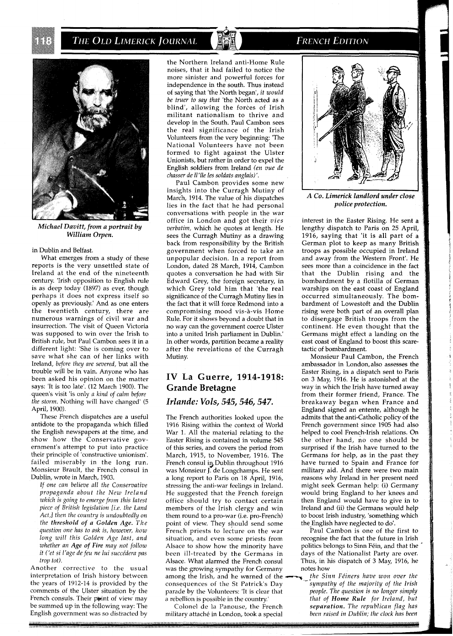

*Michael Davitt, from a portrait by William Orpen.* 

#### in Dublin and Belfast.

What emerges from a study of these reports is the very unsettled state of Ireland at the end of the nineteenth century. 'Irish opposition to English rule is as deep today (1897) as ever, though perhaps it does not express itself so openly as previously.' And as one enters the twentieth century, there are numerous warnings of civil war and insurrection. The visit of Queen Victoria was supposed to win over the Irish to British rule, but Paul Cambon sees it in a different light: 'She is coming over to save what she can of her links with Ireland, *before they are severed,* but all the trouble will be in vain. Anyone who has been asked his opinion on the matter says: 'It is too late'. (12 March 1900). The queen's visit 'is only *a kind of calm before the storm.* Nothing will have changed' (5 April, 1900).

These French dispatches are a useful antidote to the propaganda which filled the English newspapers at the time, and show how the Conservative government's attempt to put into their principle of 'constructive unionism'. failed miserably in the long run. Monsieur Brault, the French consul in Dublin, wrote in March, 1903.

*If one can believe all the Conservative propaganda about the New Ireland which is going to emerge from this latest piece of British legislation [i.e. the Land Act,] then the country is undoubtedly on the threshold of a Golden Age. The question one has to ask is, however, how long will this Golden Age last, and whether an Age of Fire may not follow it ('et si l'age de feu ne lui succidera pas trop tot).* 

Another corrective to the usual interpretation of Irish history between the years of 1912-14 is provided by the comments of the Ulster situation by the French consuls. Their point of view may be summed up in the following way: The English government was so distracted by

the Northern Ireland anti-Home Rule noises, that it had failed to notice the more sinister and powerful forces for independence in the south. Thus instead of saying that 'the North began', *it would be truer to say that* 'the North acted as a blind', allowing the forces of Irish militant nationalism to thrive and develop in the South. Paul Cambon sees the real significance of the Irish Volunteers from the very beginning: 'The National Volunteers have not been formed to fight against the Ulster Unionists, but rather in order to expel the English soldiers from Ireland *(en vue de chasser de l1 'ile les soldats anglais)'.* 

Paul Cambon provides some new insights into the Curragh Mutiny of March, 1914. The value of his dispatches lies in the fact that he had personal conversations with people in the war office in London and got their *vies verbatim,* which he quotes at length. He sees the Curragh Mutiny as a drawing back from responsibility by the British government when forced to take an unpopular decision. In a report from London, dated 28 March, 1914, Cambon quotes a conversation he had with Sir Edward Grey, the foreign secretary, in which Grey told him that 'the real significance of the Curragh Mutiny lies in the fact that it will force Redmond into a compromising mood vis-A-vis Home Rule. For it shows beyond a doubt that in no way can the government coerce Ulster into a united Irish parliament in Dublin.' In other words, partition became a reality after the revelations of the Curragh Mutiny.

### **IV La Guerre, 1914-1918: Grande Bretagne**

#### *Irlande: Vols,* **545,546,547.**

The French authorities looked upon the 1916 Rising within the context of World War 1. All the material relating to the Easter Rising is contained in volume 545 of this series, and covers the period from March, 1915, to November, 1916. The French consul in Dublin throughout 1916 was Monsieur J. de Longchamps. He sent a long report to Paris on 18 April, 1916, stressing the anti-war feelings in Ireland. He suggested that the French foreign office should try to contact certain members of the Irish clergy and win them round to a pro-war (i.e. pro-French) point of view. They should send some French priests to lecture on the war situation, and even some priests from Alsace to show how the minority have been ill-treated by the Germans in Alsace. What alarmed the French consul was the growing sympathy for Germany among the Irish, and he warned of the **--** *fhe Sinn Féiners have won over the* consequences of the St Patrick's Day consequences of the St Patrick's Day *sympathy of the majority of the Irish*  parade by the Volunteers: 'It is clear that a rebellion is possible in the country.' *that of Home Rule for Ireland, but* 

 $m$ ilitary attaché in London, took a special

**FRENCH EDITION** 



*A Co. Limerick landlord under close police protection.* 

interest in the Easter Rising. He sent a lengthy dispatch to Paris on 25 April, 1916, saying that 'it is all part of a German plot to keep as many British troops as possible occupied in Ireland and away from the Western Front'. He sees more than a coincidence in the fact that the Dublin rising and the bombardment by a flotilla of German warships on the east coast of England occurred simultaneously. The bombardment of Lowestoft and the Dublin rising were both part of an overall plan to disengage British troops from the continent. He even thought that the Germans might effect a landing on the east coast of England to boost this scaretactic of bombardment.

Monsieur Paul Cambon, the French ambassador in London, also assesses the Easter Rising, in a dispatch sent to Paris on **3** May, 1916. He is astonished at the way in which the Irish have turned away from their former friend. France. The breakaway began when France and England signed an entente, although he admits that the anti-Catholic policy of the French government since 1905 had also helped to cool French-Irish relations. On the other hand, no one should be surprised if the Irish have turned to the Germans for help, as in the past they have turned to Spain and France for military aid. And there were two main reasons why Ireland in her present need might seek German help: (i) Germany would bring England to her knees and then England would have to give in to Ireland and (ii) the Germans would help to boost Irish industry, 'something which the English have neglected to do'.

Paul Cambon is one of the first to recognise the fact that the future in Irish politics belongs to Sinn Féin, and that the days of the Nationalist Party are over. Thus, in his dispatch of **3** May, 1916, he notes how

Colonel de la Panouse, the French *separation. The republican flag has*